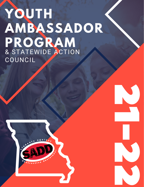## **YOUTH AMBASSADOR PROGRAM** & STATEWIDE ACTION COUNCIL



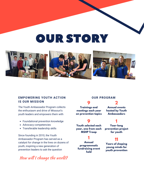## OUR STORY



#### **EMPOWERING YOUTH ACTION IS OUR MISSION**

The Youth Ambassador Program collects the enthusiasm and drive of Missouri's youth leaders and empowers them with

- Foundational prevention knowledge
- Advocacy competencies
- Transferable leadership skills

Since founding in 2010, the Youth Ambassador Program has served as a catalyst for change in the lives on dozens of youth, inspiring a new generation of prevention leaders to ask the question

How will I change the world?

### **OUR PROGRAM**

**Trainings and meetings each year on prevention topics**

**9 Youth selected each year, one from each MSHP Troop**

## **1**

**Annual programmatic fundraising event held**

#### **2 Annual events hosted by Youth Ambassadors**

## **1**

**Year-long prevention project for youth**

### **11**

**Years of shaping young minds for youth prevention**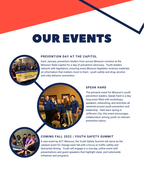# OUR EVENTS



#### **PREVENTION DAY AT THE CAPITOL**

Each January, prevention leaders from across Missouri convene at the Missouri State Capitol for a day of prevention advocacy. Youth leaders network with legislators, ensuring every Missouri legislator receives materials on information that matters most to them - youth safety and drug, alcohol, and risky behavior prevention.



#### **SPEAK HARD**

The pinnacle event for Missouri's youth prevention leaders, Speak Hard is a daylong event filled with workshops, speakers, networking, and activities all centered around youth prevention and leadership. Held each spring in Jefferson City, this event encourages collaboration among youth on relevant prevention topics.



#### **COMING FALL 2022 | YOUTH SAFETY SUMMIT**

A new event by ACT Missouri, the Youth Safety Summit will serve as the catalyst event for change each fall with a focus on traffic safety and distracted driving. Youth will engage in a one-day, online event with presentations and guest speakers that highlight state- and nationwide initiatives and programs.